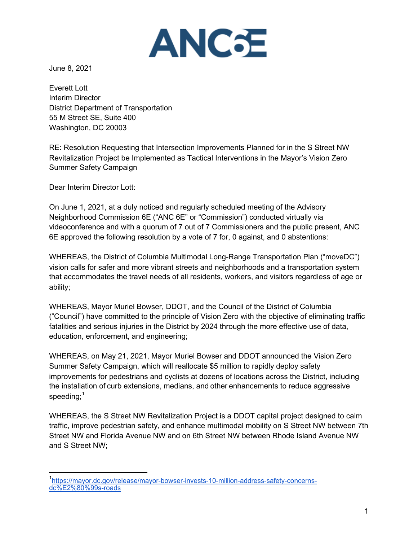

June 8, 2021

Everett Lott Interim Director District Department of Transportation 55 M Street SE, Suite 400 Washington, DC 20003

RE: Resolution Requesting that Intersection Improvements Planned for in the S Street NW Revitalization Project be Implemented as Tactical Interventions in the Mayor's Vision Zero Summer Safety Campaign

Dear Interim Director Lott:

On June 1, 2021, at a duly noticed and regularly scheduled meeting of the Advisory Neighborhood Commission 6E ("ANC 6E" or "Commission") conducted virtually via videoconference and with a quorum of 7 out of 7 Commissioners and the public present, ANC 6E approved the following resolution by a vote of 7 for, 0 against, and 0 abstentions:

WHEREAS, the District of Columbia Multimodal Long-Range Transportation Plan ("moveDC") vision calls for safer and more vibrant streets and neighborhoods and a transportation system that accommodates the travel needs of all residents, workers, and visitors regardless of age or ability;

WHEREAS, Mayor Muriel Bowser, DDOT, and the Council of the District of Columbia ("Council") have committed to the principle of Vision Zero with the objective of eliminating traffic fatalities and serious injuries in the District by 2024 through the more effective use of data, education, enforcement, and engineering;

WHEREAS, on May 21, 2021, Mayor Muriel Bowser and DDOT announced the Vision Zero Summer Safety Campaign, which will reallocate \$5 million to rapidly deploy safety improvements for pedestrians and cyclists at dozens of locations across the District, including the installation of curb extensions, medians, and other enhancements to reduce aggressive speeding;<sup>1</sup>

WHEREAS, the S Street NW Revitalization Project is a DDOT capital project designed to calm traffic, improve pedestrian safety, and enhance multimodal mobility on S Street NW between 7th Street NW and Florida Avenue NW and on 6th Street NW between Rhode Island Avenue NW and S Street NW;

<sup>&</sup>lt;sup>1</sup>https://mayor.dc.gov/release/mayor-bowser-invests-10-million-address-safety-concernsdc%E2%80%99s-roads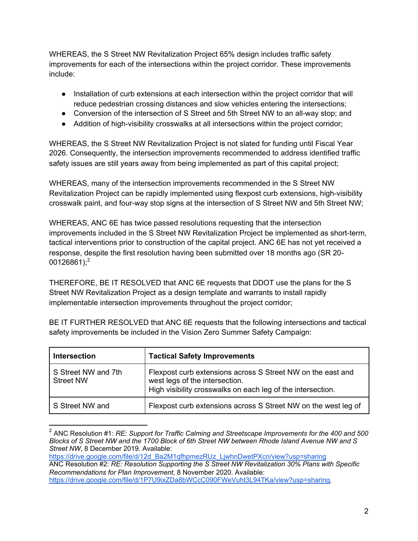WHEREAS, the S Street NW Revitalization Project 65% design includes traffic safety improvements for each of the intersections within the project corridor. These improvements include:

- Installation of curb extensions at each intersection within the project corridor that will reduce pedestrian crossing distances and slow vehicles entering the intersections;
- Conversion of the intersection of S Street and 5th Street NW to an all-way stop; and
- Addition of high-visibility crosswalks at all intersections within the project corridor;

WHEREAS, the S Street NW Revitalization Project is not slated for funding until Fiscal Year 2026. Consequently, the intersection improvements recommended to address identified traffic safety issues are still years away from being implemented as part of this capital project;

WHEREAS, many of the intersection improvements recommended in the S Street NW Revitalization Project can be rapidly implemented using flexpost curb extensions, high-visibility crosswalk paint, and four-way stop signs at the intersection of S Street NW and 5th Street NW;

WHEREAS, ANC 6E has twice passed resolutions requesting that the intersection improvements included in the S Street NW Revitalization Project be implemented as short-term, tactical interventions prior to construction of the capital project. ANC 6E has not yet received a response, despite the first resolution having been submitted over 18 months ago (SR 20-  $00126861$ ;<sup>2</sup>

THEREFORE, BE IT RESOLVED that ANC 6E requests that DDOT use the plans for the S Street NW Revitalization Project as a design template and warrants to install rapidly implementable intersection improvements throughout the project corridor;

| <b>Intersection</b>                     | <b>Tactical Safety Improvements</b>                                                                                                                          |
|-----------------------------------------|--------------------------------------------------------------------------------------------------------------------------------------------------------------|
| S Street NW and 7th<br><b>Street NW</b> | Flexpost curb extensions across S Street NW on the east and<br>west legs of the intersection.<br>High visibility crosswalks on each leg of the intersection. |
| S Street NW and                         | Flexpost curb extensions across S Street NW on the west leg of                                                                                               |

BE IT FURTHER RESOLVED that ANC 6E requests that the following intersections and tactical safety improvements be included in the Vision Zero Summer Safety Campaign:

https://drive.google.com/file/d/12d\_Ba2M1qfhpmezRUz\_LjwhnDwetPXcn/view?usp=sharing

<sup>2</sup> ANC Resolution #1: *RE: Support for Traffic Calming and Streetscape Improvements for the 400 and 500 Blocks of S Street NW and the 1700 Block of 6th Street NW between Rhode Island Avenue NW and S Street NW*, 8 December 2019. Available:

ANC Resolution #2: *RE: Resolution Supporting the S Street NW Revitalization 30% Plans with Specific Recommendations for Plan Improvement*, 8 November 2020. Available: